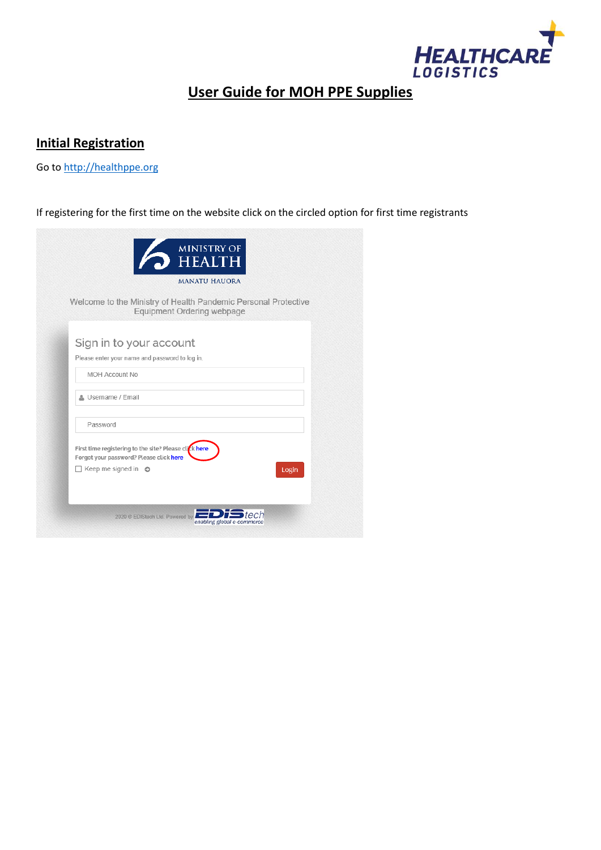

# **User Guide for MOH PPE Supplies**

## **Initial Registration**

Go to [http://healthppe.org](http://healthppe.org/)

## If registering for the first time on the website click on the circled option for first time registrants

|                                                                                                  | <b>MANATU HAUORA</b>                                                                         |       |
|--------------------------------------------------------------------------------------------------|----------------------------------------------------------------------------------------------|-------|
|                                                                                                  | Welcome to the Ministry of Health Pandemic Personal Protective<br>Equipment Ordering webpage |       |
| Sign in to your account                                                                          |                                                                                              |       |
| Please enter your name and password to log in.                                                   |                                                                                              |       |
| MOH Account No                                                                                   |                                                                                              |       |
| & Username / Email                                                                               |                                                                                              |       |
| Password                                                                                         |                                                                                              |       |
| First time registering to the site? Please click here<br>Forgot your password? Please click here |                                                                                              |       |
| $\Box$ Keep me signed in $\odot$                                                                 |                                                                                              | Login |
|                                                                                                  |                                                                                              |       |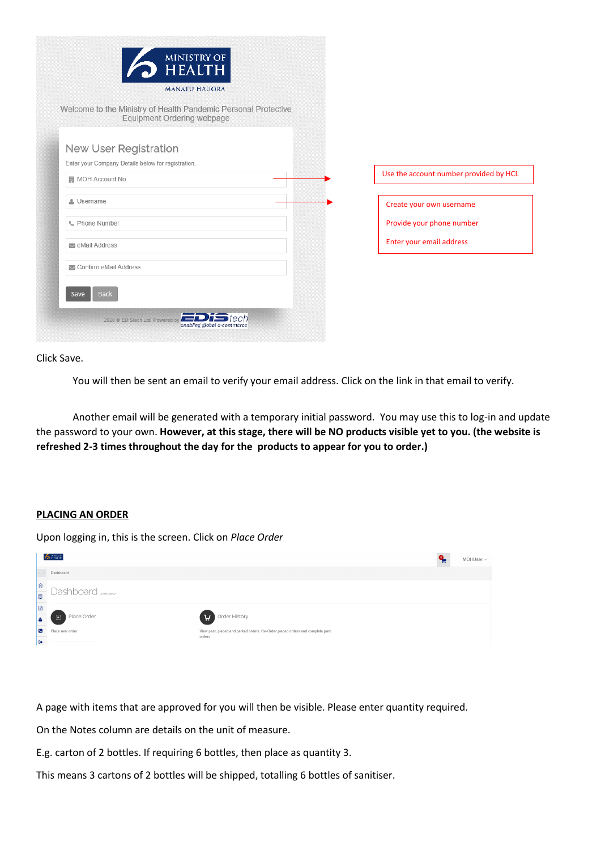| <b>HEALTH</b><br><b>MANATU HAUORA</b>                                                        |                                        |
|----------------------------------------------------------------------------------------------|----------------------------------------|
| Welcome to the Ministry of Health Pandemic Personal Protective<br>Equipment Ordering webpage |                                        |
| New User Registration<br>Enter your Company Details below for registration.                  |                                        |
| <b>■ MOH Account No</b>                                                                      | Use the account number provided by HCL |
| Username                                                                                     | Create your own username               |
| € Phone Number                                                                               | Provide your phone number              |
| eMail Address                                                                                | Enter your email address               |
| Confirm eMail Address                                                                        |                                        |
| <b>Back</b><br>Save                                                                          |                                        |
|                                                                                              |                                        |

Click Save.

You will then be sent an email to verify your email address. Click on the link in that email to verify.

Another email will be generated with a temporary initial password. You may use this to log-in and update the password to your own. **However, at this stage, there will be NO products visible yet to you. (the website is refreshed 2-3 times throughout the day for the products to appear for you to order.)** 

#### **PLACING AN ORDER**

Upon logging in, this is the screen. Click on *Place Order*

|                                                   | $\frac{1}{2}$ HEATTH          |                                                                                         | <b>F</b> | MOHUser ~ |
|---------------------------------------------------|-------------------------------|-----------------------------------------------------------------------------------------|----------|-----------|
|                                                   | Dashboard                     |                                                                                         |          |           |
| $\widehat{\mathfrak{w}}$                          | Dashboard <sub>overview</sub> |                                                                                         |          |           |
| 関                                                 |                               |                                                                                         |          |           |
| $\begin{array}{c} \square \\ \square \end{array}$ |                               |                                                                                         |          |           |
| l a                                               | Place Order<br>$\boxed{1}$    | Order History<br>H)                                                                     |          |           |
| $\overline{c}$                                    | Place new order               | View past, placed and parked orders. Re-Order placed orders and complete park<br>orders |          |           |
| $\bullet$                                         |                               |                                                                                         |          |           |

A page with items that are approved for you will then be visible. Please enter quantity required.

On the Notes column are details on the unit of measure.

E.g. carton of 2 bottles. If requiring 6 bottles, then place as quantity 3.

This means 3 cartons of 2 bottles will be shipped, totalling 6 bottles of sanitiser.